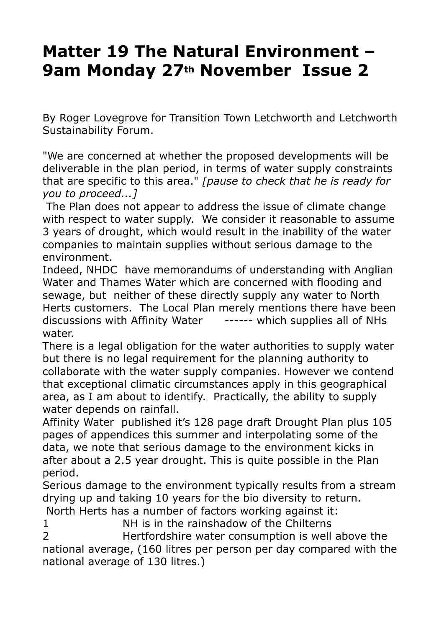## **Matter 19 The Natural Environment – 9am Monday 27th November Issue 2**

By Roger Lovegrove for Transition Town Letchworth and Letchworth Sustainability Forum.

"We are concerned at whether the proposed developments will be deliverable in the plan period, in terms of water supply constraints that are specific to this area." *[pause to check that he is ready for you to proceed...]*

 The Plan does not appear to address the issue of climate change with respect to water supply. We consider it reasonable to assume 3 years of drought, which would result in the inability of the water companies to maintain supplies without serious damage to the environment.

Indeed, NHDC have memorandums of understanding with Anglian Water and Thames Water which are concerned with flooding and sewage, but neither of these directly supply any water to North Herts customers. The Local Plan merely mentions there have been discussions with Affinity Water ------ which supplies all of NHs water.

There is a legal obligation for the water authorities to supply water but there is no legal requirement for the planning authority to collaborate with the water supply companies. However we contend that exceptional climatic circumstances apply in this geographical area, as I am about to identify. Practically, the ability to supply water depends on rainfall.

Affinity Water published it's 128 page draft Drought Plan plus 105 pages of appendices this summer and interpolating some of the data, we note that serious damage to the environment kicks in after about a 2.5 year drought. This is quite possible in the Plan period.

Serious damage to the environment typically results from a stream drying up and taking 10 years for the bio diversity to return.

North Herts has a number of factors working against it:

1 NH is in the rainshadow of the Chilterns

2 Hertfordshire water consumption is well above the national average, (160 litres per person per day compared with the national average of 130 litres.)